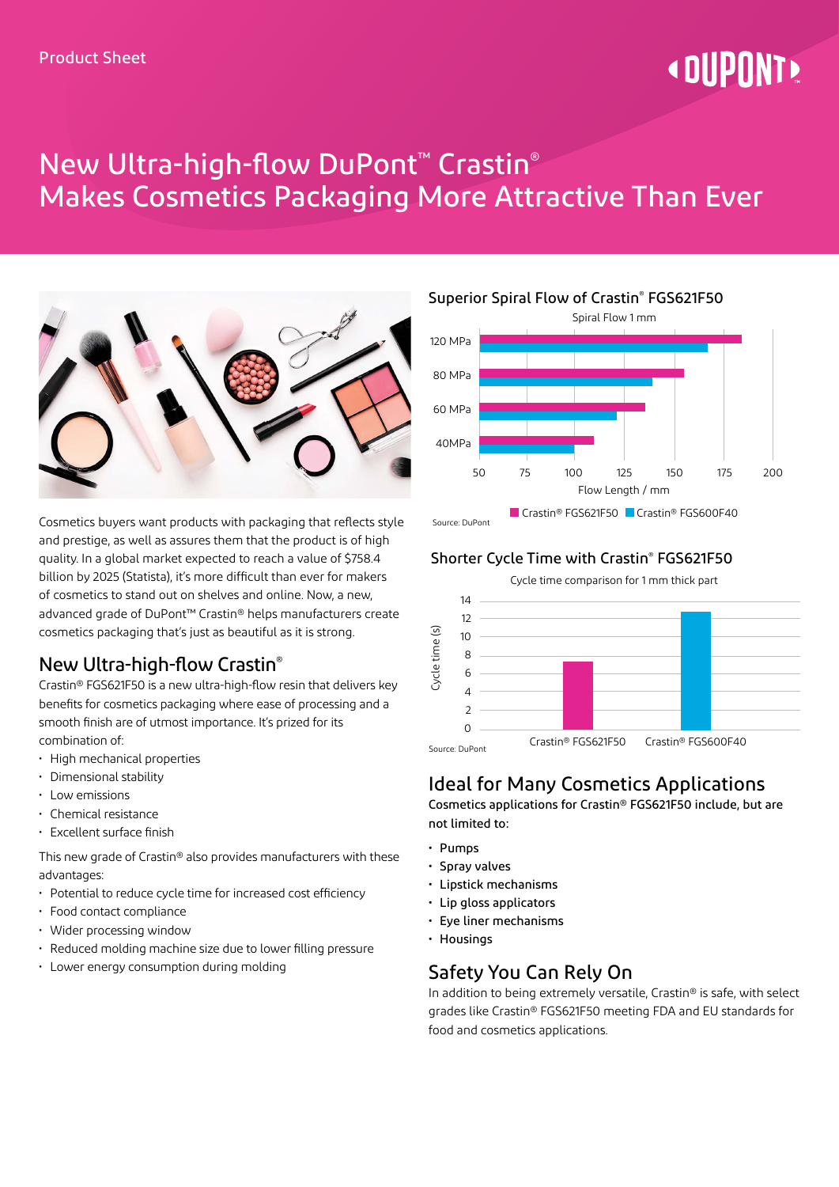# « DIIPNNT»

## New Ultra-high-flow DuPont™ Crastin® Makes Cosmetics Packaging More Attractive Than Ever



Cosmetics buyers want products with packaging that reflects style and prestige, as well as assures them that the product is of high quality. In a global market expected to reach a value of \$758.4 billion by 2025 (Statista), it's more difficult than ever for makers of cosmetics to stand out on shelves and online. Now, a new, advanced grade of DuPont™ Crastin® helps manufacturers create cosmetics packaging that's just as beautiful as it is strong.

#### New Ultra-high-flow Crastin®

Crastin® FGS621F50 is a new ultra-high-flow resin that delivers key benefits for cosmetics packaging where ease of processing and a smooth finish are of utmost importance. It's prized for its combination of:

- High mechanical properties
- Dimensional stability
- Low emissions
- Chemical resistance
- Excellent surface finish

This new grade of Crastin® also provides manufacturers with these advantages:

- Potential to reduce cycle time for increased cost efficiency
- Food contact compliance
- Wider processing window
- Reduced molding machine size due to lower filling pressure
- Lower energy consumption during molding

Source: DuPont Superior Spiral Flow of Crastin® FGS621F50 Spiral Flow 1 mm Flow Length / mm ■ Crastin® FGS621F50 ■ Crastin® FGS600F40 120 MPa 80 MPa 60 MPa 40MPa 50 75 100 125 150 175 200

#### Shorter Cycle Time with Crastin® FGS621F50



#### Ideal for Many Cosmetics Applications

Cosmetics applications for Crastin® FGS621F50 include, but are not limited to:

- Pumps
- Spray valves
- Lipstick mechanisms
- Lip gloss applicators
- Eye liner mechanisms
- Housings

#### Safety You Can Rely On

In addition to being extremely versatile, Crastin® is safe, with select grades like Crastin® FGS621F50 meeting FDA and EU standards for food and cosmetics applications.